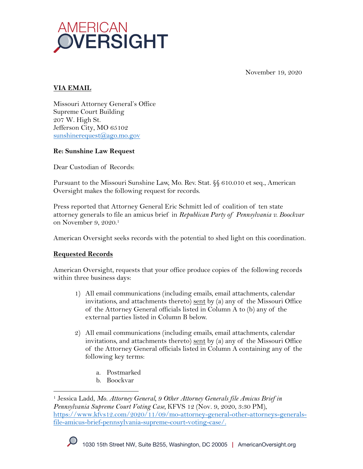

November 19, 2020

# **VIA EMAIL**

Missouri Attorney General's Office Supreme Court Building 207 W. High St. Jefferson City, MO 65102 sunshinerequest@ago.mo.gov

#### **Re: Sunshine Law Request**

Dear Custodian of Records:

Pursuant to the Missouri Sunshine Law, Mo. Rev. Stat. §§ 610.010 et seq., American Oversight makes the following request for records.

Press reported that Attorney General Eric Schmitt led of coalition of ten state attorney generals to file an amicus brief in *Republican Party of Pennsylvania v. Boockvar* on November 9, 2020.1

American Oversight seeks records with the potential to shed light on this coordination.

## **Requested Records**

American Oversight, requests that your office produce copies of the following records within three business days:

- 1) All email communications (including emails, email attachments, calendar invitations, and attachments thereto) sent by (a) any of the Missouri Office of the Attorney General officials listed in Column A to (b) any of the external parties listed in Column B below.
- 2) All email communications (including emails, email attachments, calendar invitations, and attachments thereto) sent by (a) any of the Missouri Office of the Attorney General officials listed in Column A containing any of the following key terms:
	- a. Postmarked
	- b. Boockvar

<sup>1</sup> Jessica Ladd, *Mo. Attorney General, 9 Other Attorney Generals file Amicus Brief in Pennsylvania Supreme Court Voting Case,* KFVS 12 (Nov. 9, 2020, 3:30 PM), https://www.kfvs12.com/2020/11/09/mo-attorney-general-other-attorneys-generalsfile-amicus-brief-pennsylvania-supreme-court-voting-case/.

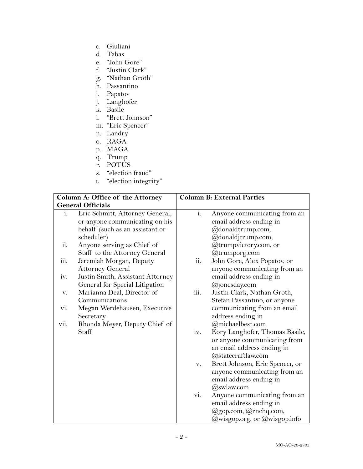- c. Giuliani
- d. Tabas
- e. "John Gore"
- f. "Justin Clark"
- g. "Nathan Groth"
- h. Passantino
- i. Papatov
- j. Langhofer
- k. Basile
- l. "Brett Johnson"
- m. "Eric Spencer"
- n. Landry
- o. RAGA
- p. MAGA
- q. Trump
- r. POTUS
- s. "election fraud"
- t. "election integrity"

| Column A: Office of the Attorney |                                                                                                                    | <b>Column B: External Parties</b> |                                                                                                                    |
|----------------------------------|--------------------------------------------------------------------------------------------------------------------|-----------------------------------|--------------------------------------------------------------------------------------------------------------------|
| <b>General Officials</b>         |                                                                                                                    |                                   |                                                                                                                    |
| i.                               | Eric Schmitt, Attorney General,<br>or anyone communicating on his<br>behalf (such as an assistant or<br>scheduler) | $i$ .                             | Anyone communicating from an<br>email address ending in<br>@donaldtrump.com,<br>@donaldjtrump.com,                 |
| ii.                              | Anyone serving as Chief of<br>Staff to the Attorney General                                                        |                                   | @trumpvictory.com, or<br>@trumporg.com                                                                             |
| iii.                             | Jeremiah Morgan, Deputy<br><b>Attorney General</b>                                                                 | ii.                               | John Gore, Alex Popatov, or<br>anyone communicating from an                                                        |
| iv.                              | Justin Smith, Assistant Attorney<br>General for Special Litigation                                                 |                                   | email address ending in<br>@jonesday.com                                                                           |
| V.                               | Marianna Deal, Director of<br>Communications                                                                       | iii.                              | Justin Clark, Nathan Groth,<br>Stefan Passantino, or anyone                                                        |
| vi.                              | Megan Werdehausen, Executive<br>Secretary                                                                          |                                   | communicating from an email<br>address ending in                                                                   |
| vii.                             | Rhonda Meyer, Deputy Chief of                                                                                      |                                   | @michaelbest.com                                                                                                   |
|                                  | Staff                                                                                                              | iv.                               | Kory Langhofer, Thomas Basile,<br>or anyone communicating from<br>an email address ending in<br>@statecraftlaw.com |
|                                  |                                                                                                                    | V.                                | Brett Johnson, Eric Spencer, or<br>anyone communicating from an<br>email address ending in<br>$(a)$ swlaw.com      |
|                                  |                                                                                                                    | vi.                               | Anyone communicating from an<br>email address ending in                                                            |
|                                  |                                                                                                                    |                                   | @gop.com, @rnchq.com,<br>@wisgop.org, or @wisgop.info                                                              |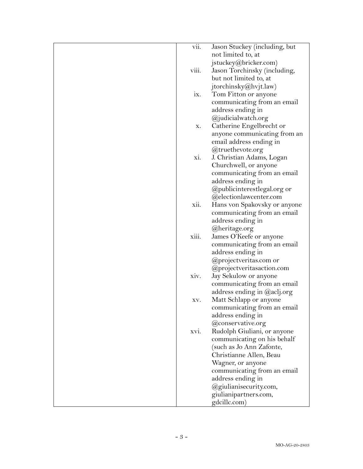| vii.  | Jason Stuckey (including, but |
|-------|-------------------------------|
|       | not limited to, at            |
|       | jstuckey@bricker.com)         |
| viii. | Jason Torchinsky (including,  |
|       | but not limited to, at        |
|       | jtorchinsky@hvjt.law)         |
| IX.   | Tom Fitton or anyone          |
|       |                               |
|       | communicating from an email   |
|       | address ending in             |
|       | @judicialwatch.org            |
| х.    | Catherine Engelbrecht or      |
|       | anyone communicating from an  |
|       | email address ending in       |
|       | @truethevote.org              |
| xi.   | J. Christian Adams, Logan     |
|       | Churchwell, or anyone         |
|       | communicating from an email   |
|       | address ending in             |
|       | @publicinterestlegal.org or   |
|       | @electionlawcenter.com        |
| xii.  | Hans von Spakovsky or anyone  |
|       | communicating from an email   |
|       | address ending in             |
|       | @heritage.org                 |
| xiii. | James O'Keefe or anyone       |
|       | communicating from an email   |
|       | address ending in             |
|       | @projectveritas.com or        |
|       | @projectveritasaction.com     |
| xiv.  | Jay Sekulow or anyone         |
|       | communicating from an email   |
|       |                               |
|       | address ending in @aclj.org   |
| XV.   | Matt Schlapp or anyone        |
|       | communicating from an email   |
|       | address ending in             |
|       | @conservative.org             |
| xvi.  | Rudolph Giuliani, or anyone   |
|       | communicating on his behalf   |
|       | (such as Jo Ann Zafonte,      |
|       | Christianne Allen, Beau       |
|       | Wagner, or anyone             |
|       | communicating from an email   |
|       | address ending in             |
|       | @giulianisecurity.com,        |
|       | giulianipartners.com,         |
|       | gdcillc.com)                  |
|       |                               |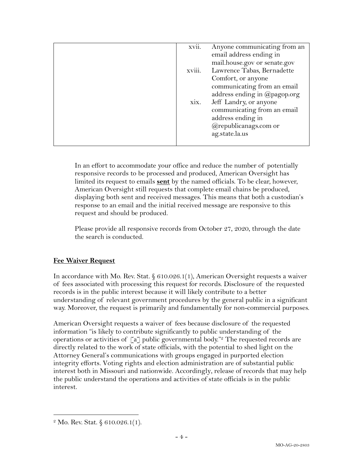| xvii.  | Anyone communicating from an |
|--------|------------------------------|
|        | email address ending in      |
|        | mail.house.gov or senate.gov |
| xviii. | Lawrence Tabas, Bernadette   |
|        | Comfort, or anyone           |
|        | communicating from an email  |
|        | address ending in @pagop.org |
| xix.   | Jeff Landry, or anyone       |
|        | communicating from an email  |
|        | address ending in            |
|        | @republicanags.com or        |
|        | ag.state.la.us               |
|        |                              |
|        |                              |

In an effort to accommodate your office and reduce the number of potentially responsive records to be processed and produced, American Oversight has limited its request to emails **sent** by the named officials. To be clear, however, American Oversight still requests that complete email chains be produced, displaying both sent and received messages. This means that both a custodian's response to an email and the initial received message are responsive to this request and should be produced.

Please provide all responsive records from October 27, 2020, through the date the search is conducted.

## **Fee Waiver Request**

In accordance with Mo. Rev. Stat. § 610.026.1(1), American Oversight requests a waiver of fees associated with processing this request for records. Disclosure of the requested records is in the public interest because it will likely contribute to a better understanding of relevant government procedures by the general public in a significant way. Moreover, the request is primarily and fundamentally for non-commercial purposes.

American Oversight requests a waiver of fees because disclosure of the requested information "is likely to contribute significantly to public understanding of the operations or activities of  $\lceil a \rceil$  public governmental body.<sup>"2</sup> The requested records are directly related to the work of state officials, with the potential to shed light on the Attorney General's communications with groups engaged in purported election integrity efforts. Voting rights and election administration are of substantial public interest both in Missouri and nationwide. Accordingly, release of records that may help the public understand the operations and activities of state officials is in the public interest.

<sup>&</sup>lt;sup>2</sup> Mo. Rev. Stat. § 610.026.1(1).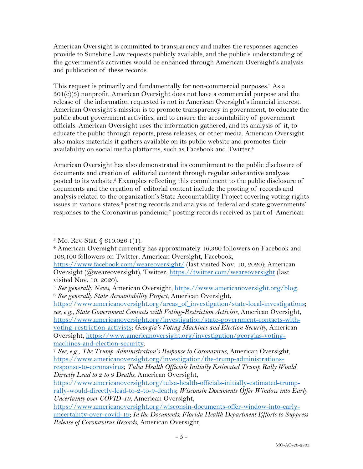American Oversight is committed to transparency and makes the responses agencies provide to Sunshine Law requests publicly available, and the public's understanding of the government's activities would be enhanced through American Oversight's analysis and publication of these records.

This request is primarily and fundamentally for non-commercial purposes.<sup>3</sup> As a  $501(c)(3)$  nonprofit, American Oversight does not have a commercial purpose and the release of the information requested is not in American Oversight's financial interest. American Oversight's mission is to promote transparency in government, to educate the public about government activities, and to ensure the accountability of government officials. American Oversight uses the information gathered, and its analysis of it, to educate the public through reports, press releases, or other media. American Oversight also makes materials it gathers available on its public website and promotes their availability on social media platforms, such as Facebook and Twitter.<sup>4</sup>

American Oversight has also demonstrated its commitment to the public disclosure of documents and creation of editorial content through regular substantive analyses posted to its website.5 Examples reflecting this commitment to the public disclosure of documents and the creation of editorial content include the posting of records and analysis related to the organization's State Accountability Project covering voting rights issues in various states;<sup>6</sup> posting records and analysis of federal and state governments' responses to the Coronavirus pandemic;7 posting records received as part of American

https://www.americanoversight.org/areas\_of\_investigation/state-local-investigations; *see, e.g.*, *State Government Contacts with Voting-Restriction Activists,* American Oversight, https://www.americanoversight.org/investigation/state-government-contacts-withvoting-restriction-activists; *Georgia's Voting Machines and Election Security*, American Oversight, https://www.americanoversight.org/investigation/georgias-votingmachines-and-election-security. 7 *See, e.g.*, *The Trump Administration's Response to Coronavirus*, American Oversight,

*Directly Lead to 2 to 9 Deaths*, American Oversight,

<sup>3</sup> Mo. Rev. Stat. § 610.026.1(1).

<sup>4</sup> American Oversight currently has approximately 16,360 followers on Facebook and 106,100 followers on Twitter. American Oversight, Facebook,

https://www.facebook.com/weareoversight/ (last visited Nov. 10, 2020); American Oversight (@weareoversight), Twitter, https://twitter.com/weareoversight (last visited Nov. 10, 2020).

<sup>5</sup> *See generally News*, American Oversight, https://www.americanoversight.org/blog. 6 *See generally State Accountability Project*, American Oversight,

https://www.americanoversight.org/investigation/the-trump-administrationsresponse-to-coronavirus; *Tulsa Health Officials Initially Estimated Trump Rally Would* 

https://www.americanoversight.org/tulsa-health-officials-initially-estimated-trumprally-would-directly-lead-to-2-to-9-deaths; *Wisconsin Documents Offer Window into Early Uncertainty over COVID-19*, American Oversight,

https://www.americanoversight.org/wisconsin-documents-offer-window-into-earlyuncertainty-over-covid-19; *In the Documents: Florida Health Department Efforts to Suppress Release of Coronavirus Records*, American Oversight,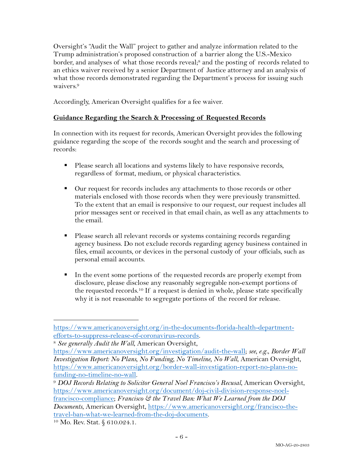Oversight's "Audit the Wall" project to gather and analyze information related to the Trump administration's proposed construction of a barrier along the U.S.-Mexico border, and analyses of what those records reveal;<sup>8</sup> and the posting of records related to an ethics waiver received by a senior Department of Justice attorney and an analysis of what those records demonstrated regarding the Department's process for issuing such waivers.9

Accordingly, American Oversight qualifies for a fee waiver.

#### **Guidance Regarding the Search & Processing of Requested Records**

In connection with its request for records, American Oversight provides the following guidance regarding the scope of the records sought and the search and processing of records:

- Please search all locations and systems likely to have responsive records, regardless of format, medium, or physical characteristics.
- Our request for records includes any attachments to those records or other materials enclosed with those records when they were previously transmitted. To the extent that an email is responsive to our request, our request includes all prior messages sent or received in that email chain, as well as any attachments to the email.
- Please search all relevant records or systems containing records regarding agency business. Do not exclude records regarding agency business contained in files, email accounts, or devices in the personal custody of your officials, such as personal email accounts.
- In the event some portions of the requested records are properly exempt from disclosure, please disclose any reasonably segregable non-exempt portions of the requested records.10 If a request is denied in whole, please state specifically why it is not reasonable to segregate portions of the record for release.

https://www.americanoversight.org/in-the-documents-florida-health-departmentefforts-to-suppress-release-of-coronavirus-records. 8 *See generally Audit the Wall*, American Oversight,

https://www.americanoversight.org/investigation/audit-the-wall; *see, e.g.*, *Border Wall Investigation Report: No Plans, No Funding, No Timeline, No Wall*, American Oversight, https://www.americanoversight.org/border-wall-investigation-report-no-plans-nofunding-no-timeline-no-wall. 9 *DOJ Records Relating to Solicitor General Noel Francisco's Recusal*, American Oversight,

https://www.americanoversight.org/document/doj-civil-division-response-noelfrancisco-compliance; *Francisco & the Travel Ban: What We Learned from the DOJ Documents*, American Oversight, https://www.americanoversight.org/francisco-thetravel-ban-what-we-learned-from-the-doj-documents.

<sup>10</sup> Mo. Rev. Stat. § 610.024.1.